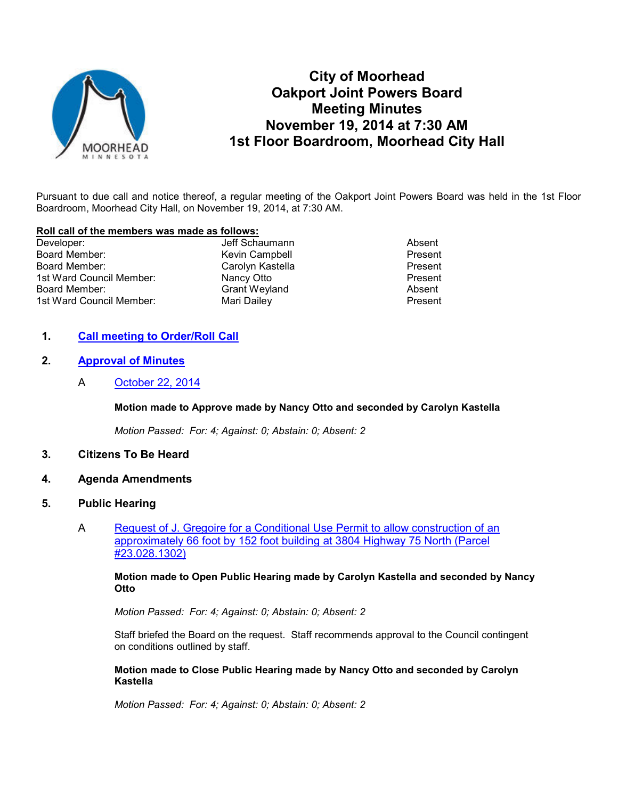

# **City of Moorhead Oakport Joint Powers Board Meeting Minutes November 19, 2014 at 7:30 AM 1st Floor Boardroom, Moorhead City Hall**

Pursuant to due call and notice thereof, a regular meeting of the Oakport Joint Powers Board was held in the 1st Floor Boardroom, Moorhead City Hall, on November 19, 2014, at 7:30 AM.

#### **Roll call of the members was made as follows:**

| Developer:               | Jeff Schaumann       | Absent  |
|--------------------------|----------------------|---------|
| Board Member:            | Kevin Campbell       | Present |
| Board Member:            | Carolyn Kastella     | Present |
| 1st Ward Council Member: | Nancy Otto           | Present |
| Board Member:            | <b>Grant Weyland</b> | Absent  |
| 1st Ward Council Member: | Mari Dailey          | Present |

### **1. Call meeting to Order/Roll Call**

## **2. Approval of Minutes**

A October 22, 2014

#### **Motion made to Approve made by Nancy Otto and seconded by Carolyn Kastella**

*Motion Passed: For: 4; Against: 0; Abstain: 0; Absent: 2* 

- **3. Citizens To Be Heard**
- **4. Agenda Amendments**

#### **5. Public Hearing**

A Request of J. Gregoire for a Conditional Use Permit to allow construction of an approximately 66 foot by 152 foot building at 3804 Highway 75 North (Parcel #23.028.1302)

**Motion made to Open Public Hearing made by Carolyn Kastella and seconded by Nancy Otto** 

*Motion Passed: For: 4; Against: 0; Abstain: 0; Absent: 2* 

Staff briefed the Board on the request. Staff recommends approval to the Council contingent on conditions outlined by staff.

#### **Motion made to Close Public Hearing made by Nancy Otto and seconded by Carolyn Kastella**

*Motion Passed: For: 4; Against: 0; Abstain: 0; Absent: 2*